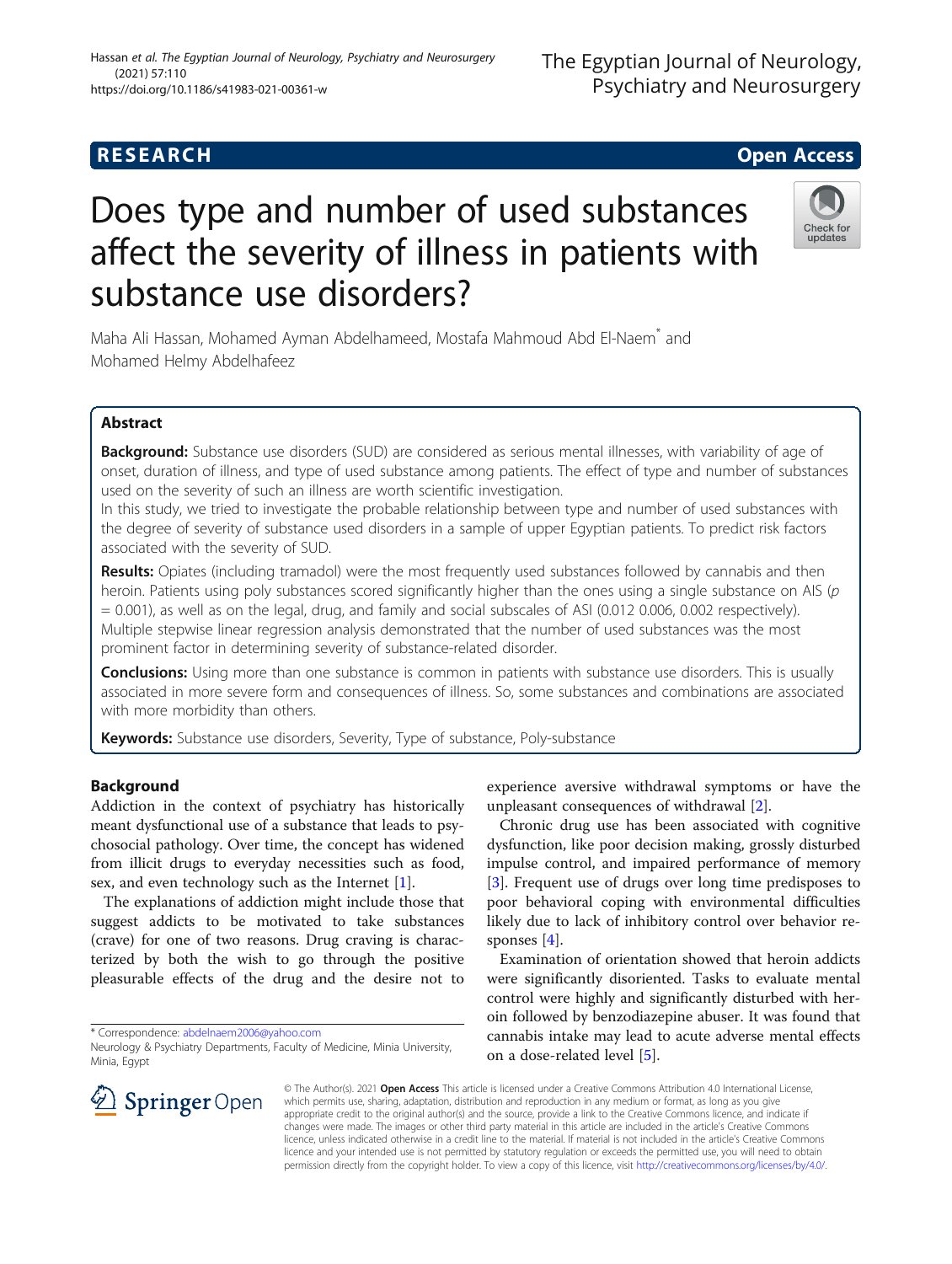## **RESEARCH CHE Open Access**

# Does type and number of used substances affect the severity of illness in patients with substance use disorders?

Maha Ali Hassan, Mohamed Ayman Abdelhameed, Mostafa Mahmoud Abd El-Naem\* and Mohamed Helmy Abdelhafeez

## Abstract

Background: Substance use disorders (SUD) are considered as serious mental illnesses, with variability of age of onset, duration of illness, and type of used substance among patients. The effect of type and number of substances used on the severity of such an illness are worth scientific investigation.

In this study, we tried to investigate the probable relationship between type and number of used substances with the degree of severity of substance used disorders in a sample of upper Egyptian patients. To predict risk factors associated with the severity of SUD.

Results: Opiates (including tramadol) were the most frequently used substances followed by cannabis and then heroin. Patients using poly substances scored significantly higher than the ones using a single substance on AIS (p = 0.001), as well as on the legal, drug, and family and social subscales of ASI (0.012 0.006, 0.002 respectively). Multiple stepwise linear regression analysis demonstrated that the number of used substances was the most prominent factor in determining severity of substance-related disorder.

**Conclusions:** Using more than one substance is common in patients with substance use disorders. This is usually associated in more severe form and consequences of illness. So, some substances and combinations are associated with more morbidity than others.

Keywords: Substance use disorders, Severity, Type of substance, Poly-substance

## Background

Addiction in the context of psychiatry has historically meant dysfunctional use of a substance that leads to psychosocial pathology. Over time, the concept has widened from illicit drugs to everyday necessities such as food, sex, and even technology such as the Internet [[1\]](#page-6-0).

The explanations of addiction might include those that suggest addicts to be motivated to take substances (crave) for one of two reasons. Drug craving is characterized by both the wish to go through the positive pleasurable effects of the drug and the desire not to

\* Correspondence: [abdelnaem2006@yahoo.com](mailto:abdelnaem2006@yahoo.com)

experience aversive withdrawal symptoms or have the unpleasant consequences of withdrawal [[2\]](#page-6-0).

Chronic drug use has been associated with cognitive dysfunction, like poor decision making, grossly disturbed impulse control, and impaired performance of memory [[3\]](#page-6-0). Frequent use of drugs over long time predisposes to poor behavioral coping with environmental difficulties likely due to lack of inhibitory control over behavior responses [\[4](#page-6-0)].

Examination of orientation showed that heroin addicts were significantly disoriented. Tasks to evaluate mental control were highly and significantly disturbed with heroin followed by benzodiazepine abuser. It was found that cannabis intake may lead to acute adverse mental effects on a dose-related level [[5\]](#page-6-0).

© The Author(s). 2021 Open Access This article is licensed under a Creative Commons Attribution 4.0 International License, which permits use, sharing, adaptation, distribution and reproduction in any medium or format, as long as you give appropriate credit to the original author(s) and the source, provide a link to the Creative Commons licence, and indicate if changes were made. The images or other third party material in this article are included in the article's Creative Commons licence, unless indicated otherwise in a credit line to the material. If material is not included in the article's Creative Commons licence and your intended use is not permitted by statutory regulation or exceeds the permitted use, you will need to obtain permission directly from the copyright holder. To view a copy of this licence, visit <http://creativecommons.org/licenses/by/4.0/>.









Neurology & Psychiatry Departments, Faculty of Medicine, Minia University, Minia, Egypt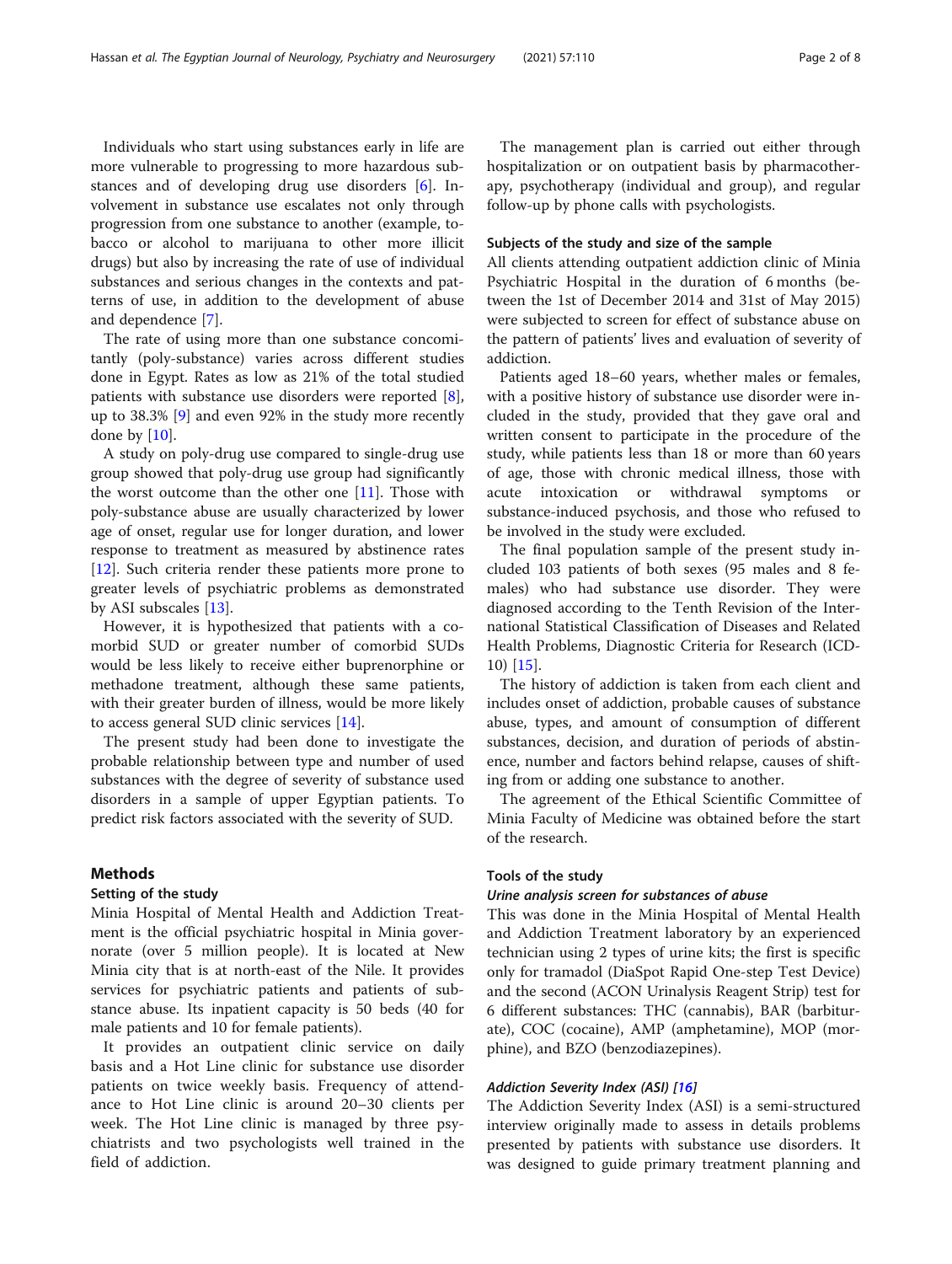Individuals who start using substances early in life are more vulnerable to progressing to more hazardous substances and of developing drug use disorders [[6\]](#page-6-0). Involvement in substance use escalates not only through progression from one substance to another (example, tobacco or alcohol to marijuana to other more illicit drugs) but also by increasing the rate of use of individual substances and serious changes in the contexts and patterns of use, in addition to the development of abuse and dependence [\[7](#page-6-0)].

The rate of using more than one substance concomitantly (poly-substance) varies across different studies done in Egypt. Rates as low as 21% of the total studied patients with substance use disorders were reported [\[8](#page-6-0)], up to 38.3% [\[9](#page-6-0)] and even 92% in the study more recently done by  $[10]$  $[10]$ .

A study on poly-drug use compared to single-drug use group showed that poly-drug use group had significantly the worst outcome than the other one  $[11]$  $[11]$ . Those with poly-substance abuse are usually characterized by lower age of onset, regular use for longer duration, and lower response to treatment as measured by abstinence rates [[12\]](#page-7-0). Such criteria render these patients more prone to greater levels of psychiatric problems as demonstrated by ASI subscales [[13\]](#page-7-0).

However, it is hypothesized that patients with a comorbid SUD or greater number of comorbid SUDs would be less likely to receive either buprenorphine or methadone treatment, although these same patients, with their greater burden of illness, would be more likely to access general SUD clinic services [\[14](#page-7-0)].

The present study had been done to investigate the probable relationship between type and number of used substances with the degree of severity of substance used disorders in a sample of upper Egyptian patients. To predict risk factors associated with the severity of SUD.

## Methods

## Setting of the study

Minia Hospital of Mental Health and Addiction Treatment is the official psychiatric hospital in Minia governorate (over 5 million people). It is located at New Minia city that is at north-east of the Nile. It provides services for psychiatric patients and patients of substance abuse. Its inpatient capacity is 50 beds (40 for male patients and 10 for female patients).

It provides an outpatient clinic service on daily basis and a Hot Line clinic for substance use disorder patients on twice weekly basis. Frequency of attendance to Hot Line clinic is around 20–30 clients per week. The Hot Line clinic is managed by three psychiatrists and two psychologists well trained in the field of addiction.

The management plan is carried out either through hospitalization or on outpatient basis by pharmacotherapy, psychotherapy (individual and group), and regular follow-up by phone calls with psychologists.

## Subjects of the study and size of the sample

All clients attending outpatient addiction clinic of Minia Psychiatric Hospital in the duration of 6 months (between the 1st of December 2014 and 31st of May 2015) were subjected to screen for effect of substance abuse on the pattern of patients' lives and evaluation of severity of addiction.

Patients aged 18–60 years, whether males or females, with a positive history of substance use disorder were included in the study, provided that they gave oral and written consent to participate in the procedure of the study, while patients less than 18 or more than 60 years of age, those with chronic medical illness, those with acute intoxication or withdrawal symptoms or substance-induced psychosis, and those who refused to be involved in the study were excluded.

The final population sample of the present study included 103 patients of both sexes (95 males and 8 females) who had substance use disorder. They were diagnosed according to the Tenth Revision of the International Statistical Classification of Diseases and Related Health Problems, Diagnostic Criteria for Research (ICD-10) [[15\]](#page-7-0).

The history of addiction is taken from each client and includes onset of addiction, probable causes of substance abuse, types, and amount of consumption of different substances, decision, and duration of periods of abstinence, number and factors behind relapse, causes of shifting from or adding one substance to another.

The agreement of the Ethical Scientific Committee of Minia Faculty of Medicine was obtained before the start of the research.

## Tools of the study

## Urine analysis screen for substances of abuse

This was done in the Minia Hospital of Mental Health and Addiction Treatment laboratory by an experienced technician using 2 types of urine kits; the first is specific only for tramadol (DiaSpot Rapid One-step Test Device) and the second (ACON Urinalysis Reagent Strip) test for 6 different substances: THC (cannabis), BAR (barbiturate), COC (cocaine), AMP (amphetamine), MOP (morphine), and BZO (benzodiazepines).

## Addiction Severity Index (ASI) [\[16](#page-7-0)]

The Addiction Severity Index (ASI) is a semi-structured interview originally made to assess in details problems presented by patients with substance use disorders. It was designed to guide primary treatment planning and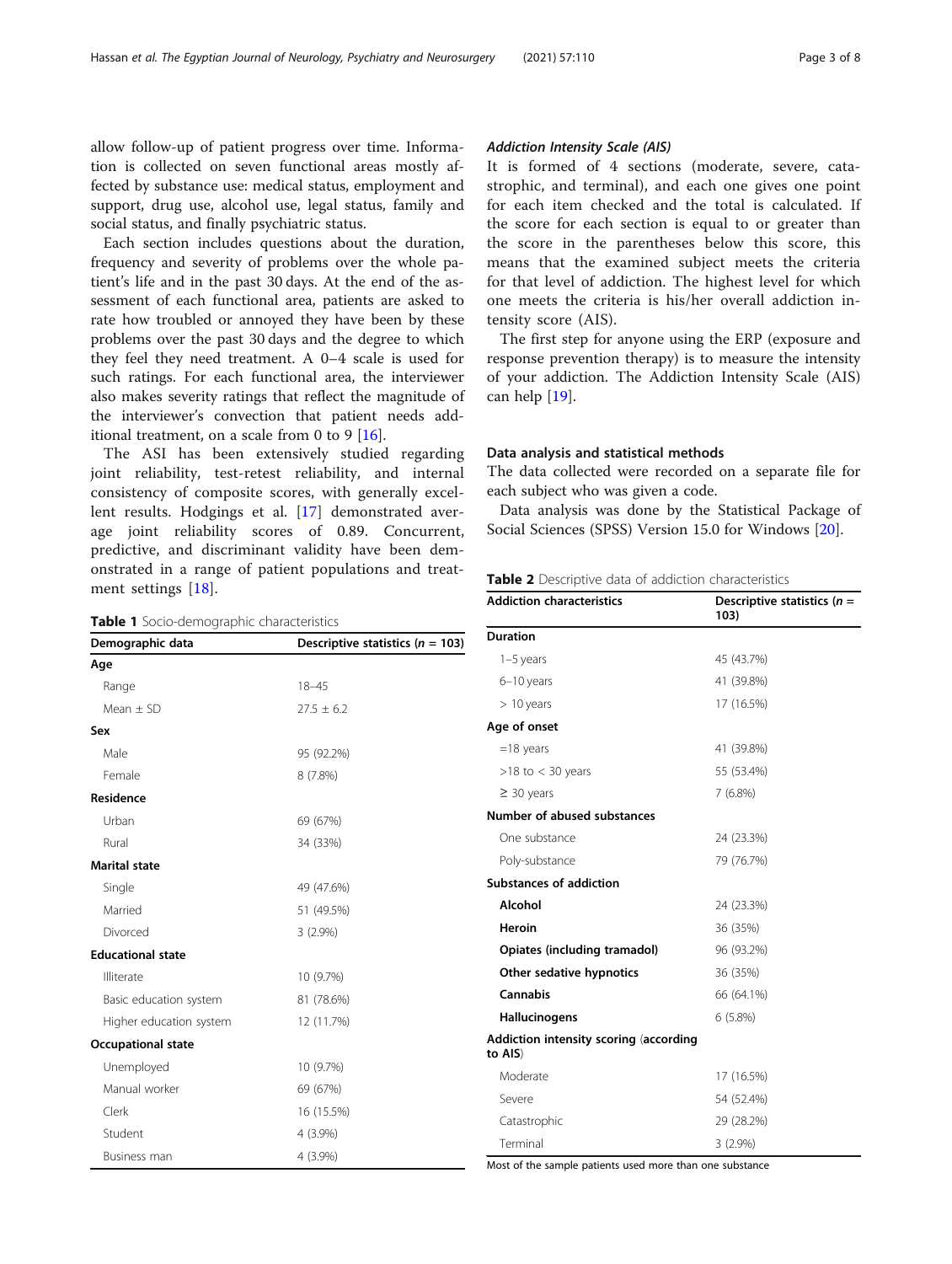<span id="page-2-0"></span>allow follow-up of patient progress over time. Information is collected on seven functional areas mostly affected by substance use: medical status, employment and support, drug use, alcohol use, legal status, family and social status, and finally psychiatric status.

Each section includes questions about the duration, frequency and severity of problems over the whole patient's life and in the past 30 days. At the end of the assessment of each functional area, patients are asked to rate how troubled or annoyed they have been by these problems over the past 30 days and the degree to which they feel they need treatment. A 0–4 scale is used for such ratings. For each functional area, the interviewer also makes severity ratings that reflect the magnitude of the interviewer's convection that patient needs additional treatment, on a scale from 0 to 9 [[16](#page-7-0)].

The ASI has been extensively studied regarding joint reliability, test-retest reliability, and internal consistency of composite scores, with generally excellent results. Hodgings et al. [[17\]](#page-7-0) demonstrated average joint reliability scores of 0.89. Concurrent, predictive, and discriminant validity have been demonstrated in a range of patient populations and treatment settings [[18](#page-7-0)].

Table 1 Socio-demographic characteristics

| Demographic data          | Descriptive statistics ( $n = 103$ ) |  |  |
|---------------------------|--------------------------------------|--|--|
| Age                       |                                      |  |  |
| Range                     | $18 - 45$                            |  |  |
| Mean $\pm$ SD             | $27.5 \pm 6.2$                       |  |  |
| Sex                       |                                      |  |  |
| Male                      | 95 (92.2%)                           |  |  |
| Female                    | 8(7.8%)                              |  |  |
| Residence                 |                                      |  |  |
| Urban                     | 69 (67%)                             |  |  |
| Rural                     | 34 (33%)                             |  |  |
| <b>Marital state</b>      |                                      |  |  |
| Single                    | 49 (47.6%)                           |  |  |
| Married                   | 51 (49.5%)                           |  |  |
| Divorced                  | $3(2.9\%)$                           |  |  |
| <b>Educational state</b>  |                                      |  |  |
| Illiterate                | 10 (9.7%)                            |  |  |
| Basic education system    | 81 (78.6%)                           |  |  |
| Higher education system   | 12 (11.7%)                           |  |  |
| <b>Occupational state</b> |                                      |  |  |
| Unemployed                | 10 (9.7%)                            |  |  |
| Manual worker             | 69 (67%)                             |  |  |
| Clerk                     | 16 (15.5%)                           |  |  |
| Student                   | 4 (3.9%)                             |  |  |
| Business man              | 4 (3.9%)                             |  |  |

## Addiction Intensity Scale (AIS)

It is formed of 4 sections (moderate, severe, catastrophic, and terminal), and each one gives one point for each item checked and the total is calculated. If the score for each section is equal to or greater than the score in the parentheses below this score, this means that the examined subject meets the criteria for that level of addiction. The highest level for which one meets the criteria is his/her overall addiction intensity score (AIS).

The first step for anyone using the ERP (exposure and response prevention therapy) is to measure the intensity of your addiction. The Addiction Intensity Scale (AIS) can help [\[19](#page-7-0)].

#### Data analysis and statistical methods

The data collected were recorded on a separate file for each subject who was given a code.

Data analysis was done by the Statistical Package of Social Sciences (SPSS) Version 15.0 for Windows [[20\]](#page-7-0).

| Table 2 Descriptive data of addiction characteristics |  |  |  |
|-------------------------------------------------------|--|--|--|
|-------------------------------------------------------|--|--|--|

| <b>Addiction characteristics</b>                  | Descriptive statistics ( $n =$<br>103) |
|---------------------------------------------------|----------------------------------------|
| <b>Duration</b>                                   |                                        |
| $1-5$ years                                       | 45 (43.7%)                             |
| 6-10 years                                        | 41 (39.8%)                             |
| $> 10$ years                                      | 17 (16.5%)                             |
| Age of onset                                      |                                        |
| $=18$ years                                       | 41 (39.8%)                             |
| $>18$ to $<$ 30 years                             | 55 (53.4%)                             |
| $\geq$ 30 years                                   | 7(6.8%)                                |
| Number of abused substances                       |                                        |
| One substance                                     | 24 (23.3%)                             |
| Poly-substance                                    | 79 (76.7%)                             |
| <b>Substances of addiction</b>                    |                                        |
| Alcohol                                           | 24 (23.3%)                             |
| <b>Heroin</b>                                     | 36 (35%)                               |
| Opiates (including tramadol)                      | 96 (93.2%)                             |
| Other sedative hypnotics                          | 36 (35%)                               |
| Cannabis                                          | 66 (64.1%)                             |
| Hallucinogens                                     | 6(5.8%)                                |
| Addiction intensity scoring (according<br>to AIS) |                                        |
| Moderate                                          | 17 (16.5%)                             |
| Severe                                            | 54 (52.4%)                             |
| Catastrophic                                      | 29 (28.2%)                             |
| Terminal                                          | $3(2.9\%)$                             |

Most of the sample patients used more than one substance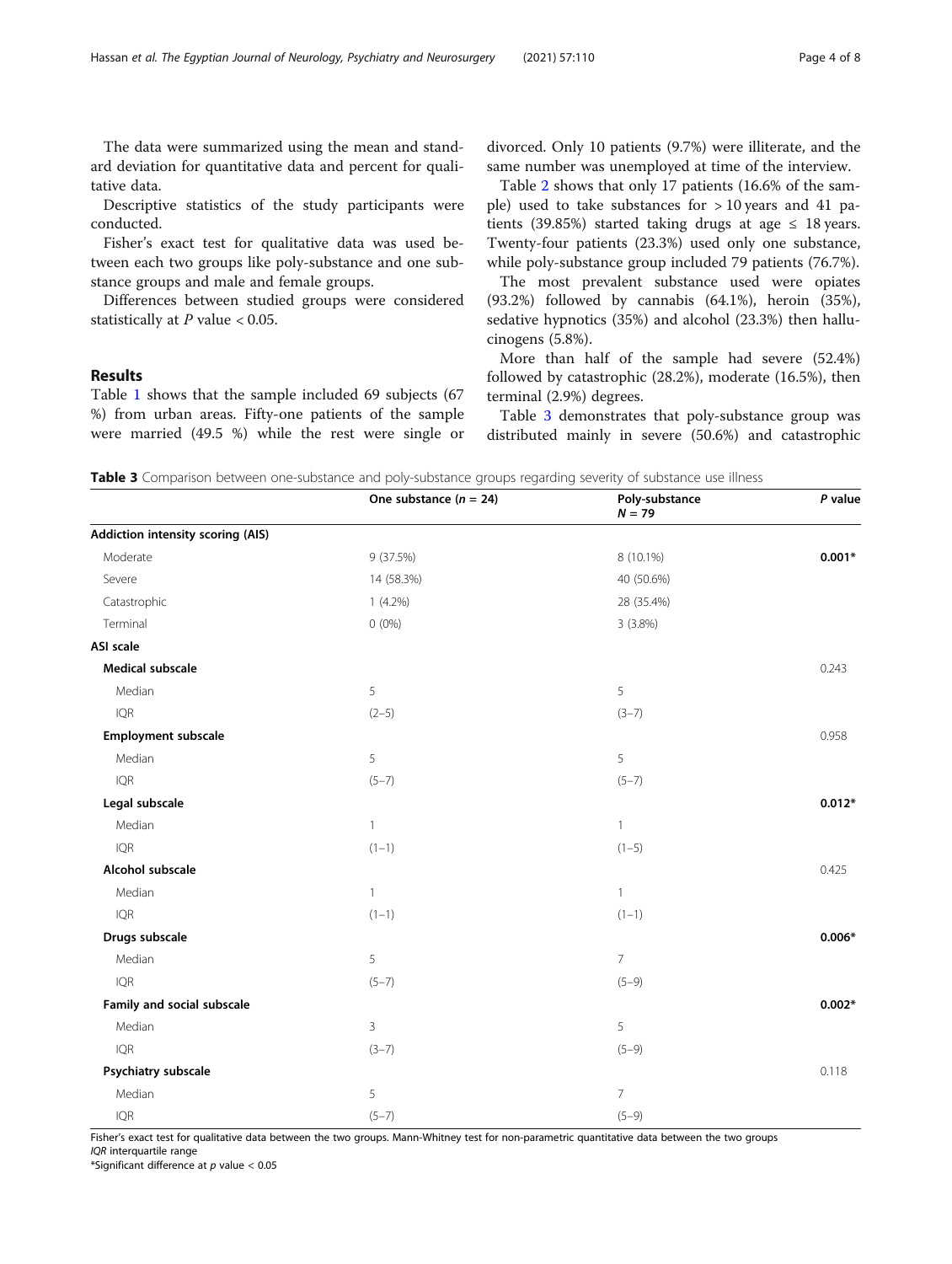<span id="page-3-0"></span>The data were summarized using the mean and standard deviation for quantitative data and percent for qualitative data.

Descriptive statistics of the study participants were conducted.

Fisher's exact test for qualitative data was used between each two groups like poly-substance and one substance groups and male and female groups.

Differences between studied groups were considered statistically at  $P$  value  $< 0.05$ .

## Results

Table [1](#page-2-0) shows that the sample included 69 subjects (67 %) from urban areas. Fifty-one patients of the sample were married (49.5 %) while the rest were single or divorced. Only 10 patients (9.7%) were illiterate, and the same number was unemployed at time of the interview.

Table [2](#page-2-0) shows that only 17 patients (16.6% of the sample) used to take substances for  $> 10$  years and 41 patients (39.85%) started taking drugs at age  $\leq$  18 years. Twenty-four patients (23.3%) used only one substance, while poly-substance group included 79 patients (76.7%).

The most prevalent substance used were opiates (93.2%) followed by cannabis (64.1%), heroin (35%), sedative hypnotics (35%) and alcohol (23.3%) then hallucinogens (5.8%).

More than half of the sample had severe (52.4%) followed by catastrophic (28.2%), moderate (16.5%), then terminal (2.9%) degrees.

Table 3 demonstrates that poly-substance group was distributed mainly in severe (50.6%) and catastrophic

Table 3 Comparison between one-substance and poly-substance groups regarding severity of substance use illness

|                                          | One substance $(n = 24)$ | Poly-substance<br>$N = 79$ | P value  |
|------------------------------------------|--------------------------|----------------------------|----------|
| <b>Addiction intensity scoring (AIS)</b> |                          |                            |          |
| Moderate                                 | 9 (37.5%)                | 8 (10.1%)                  | $0.001*$ |
| Severe                                   | 14 (58.3%)               | 40 (50.6%)                 |          |
| Catastrophic                             | $1(4.2\%)$               | 28 (35.4%)                 |          |
| Terminal                                 | $0(0\%)$                 | 3(3.8%)                    |          |
| ASI scale                                |                          |                            |          |
| <b>Medical subscale</b>                  |                          |                            | 0.243    |
| Median                                   | 5                        | 5                          |          |
| <b>IQR</b>                               | $(2-5)$                  | $(3-7)$                    |          |
| Employment subscale                      |                          |                            | 0.958    |
| Median                                   | 5                        | 5                          |          |
| <b>IQR</b>                               | $(5-7)$                  | $(5-7)$                    |          |
| Legal subscale                           |                          |                            | $0.012*$ |
| Median                                   | $\mathbf{1}$             | $\mathbf{1}$               |          |
| <b>IQR</b>                               | $(1-1)$                  | $(1-5)$                    |          |
| Alcohol subscale                         |                          |                            | 0.425    |
| Median                                   | $\mathbf{1}$             | $\mathbf{1}$               |          |
| <b>IQR</b>                               | $(1-1)$                  | $(1-1)$                    |          |
| Drugs subscale                           |                          |                            | $0.006*$ |
| Median                                   | 5                        | $\overline{7}$             |          |
| <b>IQR</b>                               | $(5-7)$                  | $(5-9)$                    |          |
| Family and social subscale               |                          |                            | $0.002*$ |
| Median                                   | 3                        | 5                          |          |
| <b>IQR</b>                               | $(3-7)$                  | $(5-9)$                    |          |
| Psychiatry subscale                      |                          |                            | 0.118    |
| Median                                   | 5                        | $\overline{7}$             |          |
| <b>IQR</b>                               | $(5 - 7)$                | $(5-9)$                    |          |

Fisher's exact test for qualitative data between the two groups. Mann-Whitney test for non-parametric quantitative data between the two groups IQR interquartile range

\*Significant difference at  $p$  value < 0.05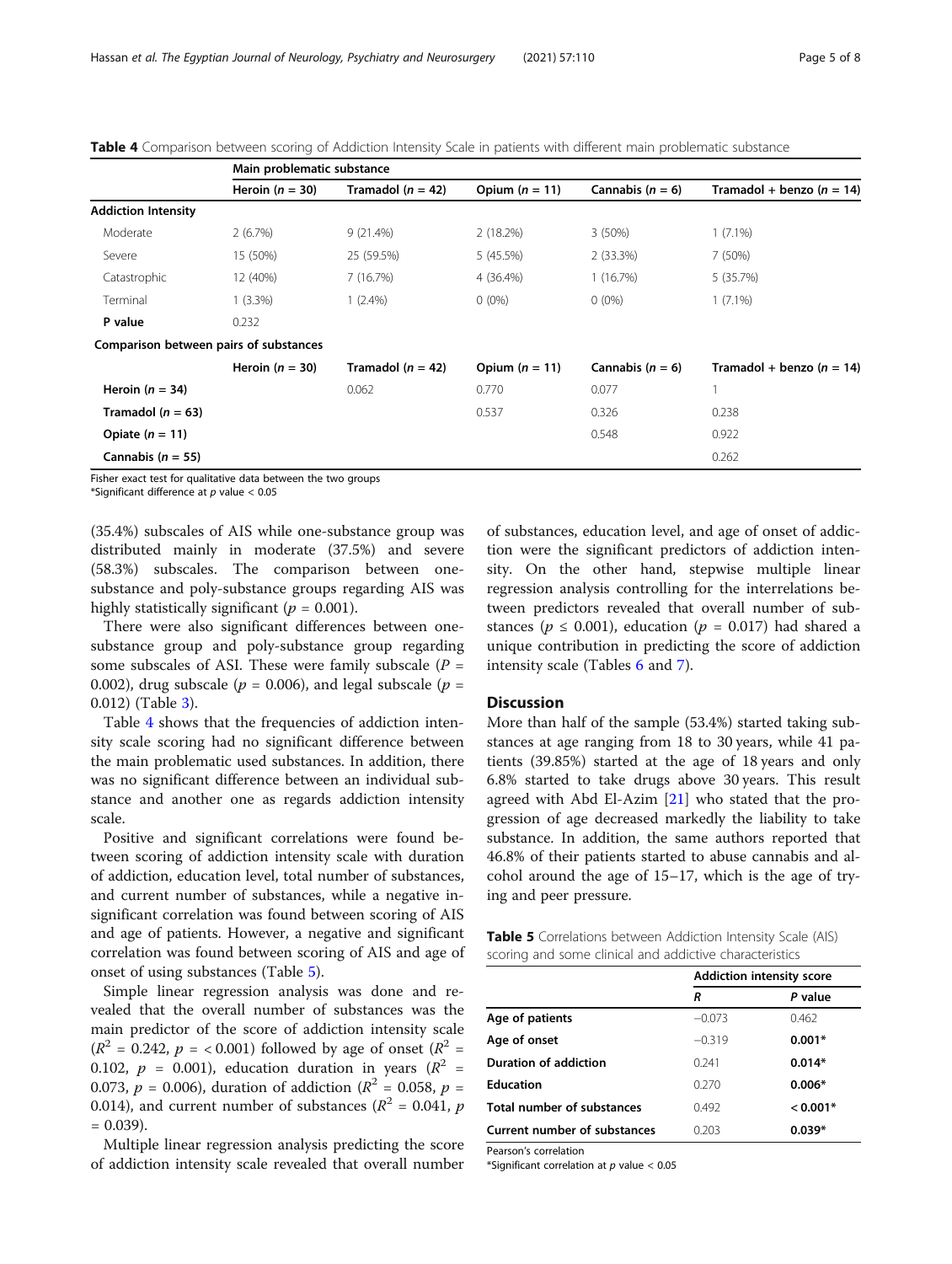|                                                               | Main problematic substance |                       |                  |                      |                               |
|---------------------------------------------------------------|----------------------------|-----------------------|------------------|----------------------|-------------------------------|
|                                                               | Heroin $(n = 30)$          | Tramadol ( $n = 42$ ) | Opium $(n = 11)$ | Cannabis $(n = 6)$   | Tramadol + benzo ( $n = 14$ ) |
| <b>Addiction Intensity</b>                                    |                            |                       |                  |                      |                               |
| Moderate                                                      | 2(6.7%)                    | 9(21.4%)              | 2(18.2%)         | 3(50%)               | $1(7.1\%)$                    |
| Severe                                                        | 15 (50%)                   | 25 (59.5%)            | 5 (45.5%)        | 2(33.3%)             | 7(50%)                        |
| Catastrophic                                                  | 12 (40%)                   | 7(16.7%)              | 4 (36.4%)        | 1(16.7%)             | 5 (35.7%)                     |
| Terminal                                                      | $1(3.3\%)$                 | $1(2.4\%)$            | $0(0\%)$         | $0(0\%)$             | $1(7.1\%)$                    |
| P value                                                       | 0.232                      |                       |                  |                      |                               |
| Comparison between pairs of substances                        |                            |                       |                  |                      |                               |
|                                                               | Heroin $(n = 30)$          | Tramadol ( $n = 42$ ) | Opium $(n = 11)$ | Cannabis ( $n = 6$ ) | Tramadol + benzo ( $n = 14$ ) |
| Heroin $(n = 34)$                                             |                            | 0.062                 | 0.770            | 0.077                |                               |
| Tramadol ( $n = 63$ )                                         |                            |                       | 0.537            | 0.326                | 0.238                         |
| Opiate $(n = 11)$                                             |                            |                       |                  | 0.548                | 0.922                         |
| Cannabis ( $n = 55$ )                                         |                            |                       |                  |                      | 0.262                         |
| Fisher exact test for qualitative data between the two groups |                            |                       |                  |                      |                               |

Table 4 Comparison between scoring of Addiction Intensity Scale in patients with different main problematic substance

Fisher exact test for qualitative data between the two groups

\*Significant difference at  $p$  value < 0.05

(35.4%) subscales of AIS while one-substance group was distributed mainly in moderate (37.5%) and severe (58.3%) subscales. The comparison between onesubstance and poly-substance groups regarding AIS was highly statistically significant ( $p = 0.001$ ).

There were also significant differences between onesubstance group and poly-substance group regarding some subscales of ASI. These were family subscale  $(P =$ 0.002), drug subscale ( $p = 0.006$ ), and legal subscale ( $p = 0.002$ ) 0.012) (Table [3\)](#page-3-0).

Table 4 shows that the frequencies of addiction intensity scale scoring had no significant difference between the main problematic used substances. In addition, there was no significant difference between an individual substance and another one as regards addiction intensity scale.

Positive and significant correlations were found between scoring of addiction intensity scale with duration of addiction, education level, total number of substances, and current number of substances, while a negative insignificant correlation was found between scoring of AIS and age of patients. However, a negative and significant correlation was found between scoring of AIS and age of onset of using substances (Table 5).

Simple linear regression analysis was done and revealed that the overall number of substances was the main predictor of the score of addiction intensity scale  $(R^{2} = 0.242, p = 0.001)$  followed by age of onset  $(R^{2} = 0.242, p = 0.001)$ 0.102,  $p = 0.001$ ), education duration in years ( $R^2 =$ 0.073,  $p = 0.006$ ), duration of addiction ( $R^2 = 0.058$ ,  $p =$ 0.014), and current number of substances ( $R^2$  = 0.041, p  $= 0.039$ ).

Multiple linear regression analysis predicting the score of addiction intensity scale revealed that overall number of substances, education level, and age of onset of addiction were the significant predictors of addiction intensity. On the other hand, stepwise multiple linear regression analysis controlling for the interrelations between predictors revealed that overall number of substances ( $p \le 0.001$ ), education ( $p = 0.017$ ) had shared a unique contribution in predicting the score of addiction intensity scale (Tables [6](#page-5-0) and [7\)](#page-5-0).

#### **Discussion**

More than half of the sample (53.4%) started taking substances at age ranging from 18 to 30 years, while 41 patients (39.85%) started at the age of 18 years and only 6.8% started to take drugs above 30 years. This result agreed with Abd El-Azim  $[21]$  $[21]$  $[21]$  who stated that the progression of age decreased markedly the liability to take substance. In addition, the same authors reported that 46.8% of their patients started to abuse cannabis and alcohol around the age of 15–17, which is the age of trying and peer pressure.

| <b>Table 5</b> Correlations between Addiction Intensity Scale (AIS) |  |
|---------------------------------------------------------------------|--|
| scoring and some clinical and addictive characteristics             |  |

|                              | <b>Addiction intensity score</b> |          |  |
|------------------------------|----------------------------------|----------|--|
|                              | R                                | P value  |  |
| Age of patients              | $-0.073$                         | 0.462    |  |
| Age of onset                 | $-0.319$                         | $0.001*$ |  |
| <b>Duration of addiction</b> | 0.241                            | $0.014*$ |  |
| <b>Education</b>             | 0.270                            | $0.006*$ |  |
| Total number of substances   | 0.492                            | $0.001*$ |  |
| Current number of substances | 0.203                            | $0.039*$ |  |

Pearson's correlation

\*Significant correlation at  $p$  value < 0.05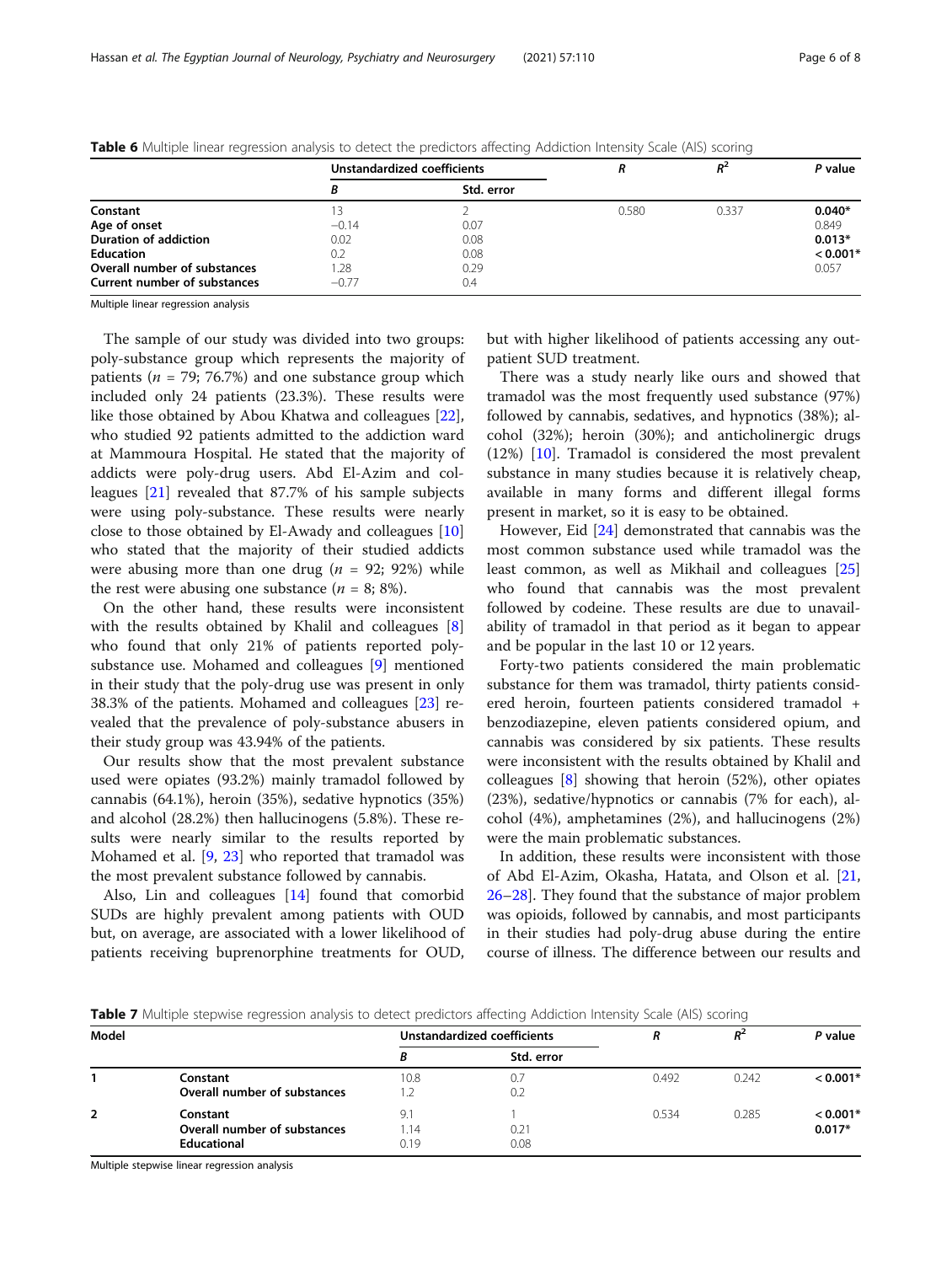|                              | Unstandardized coefficients |            |       | $R^2$ | P value    |
|------------------------------|-----------------------------|------------|-------|-------|------------|
|                              |                             | Std. error |       |       |            |
| Constant                     | 3                           |            | 0.580 | 0.337 | $0.040*$   |
| Age of onset                 | $-0.14$                     | 0.07       |       |       | 0.849      |
| <b>Duration of addiction</b> | 0.02                        | 0.08       |       |       | $0.013*$   |
| <b>Education</b>             | 0.2                         | 0.08       |       |       | $< 0.001*$ |
| Overall number of substances | 1.28                        | 0.29       |       |       | 0.057      |
| Current number of substances | $-0.77$                     | 0.4        |       |       |            |

<span id="page-5-0"></span>Table 6 Multiple linear regression analysis to detect the predictors affecting Addiction Intensity Scale (AIS) scoring

Multiple linear regression analysis

The sample of our study was divided into two groups: poly-substance group which represents the majority of patients ( $n = 79$ ; 76.7%) and one substance group which included only 24 patients (23.3%). These results were like those obtained by Abou Khatwa and colleagues [\[22](#page-7-0)], who studied 92 patients admitted to the addiction ward at Mammoura Hospital. He stated that the majority of addicts were poly-drug users. Abd El-Azim and colleagues [[21\]](#page-7-0) revealed that 87.7% of his sample subjects were using poly-substance. These results were nearly close to those obtained by El-Awady and colleagues [[10](#page-6-0)] who stated that the majority of their studied addicts were abusing more than one drug ( $n = 92$ ; 92%) while the rest were abusing one substance  $(n = 8, 8\%)$ .

On the other hand, these results were inconsistent with the results obtained by Khalil and colleagues [\[8](#page-6-0)] who found that only 21% of patients reported polysubstance use. Mohamed and colleagues [\[9](#page-6-0)] mentioned in their study that the poly-drug use was present in only 38.3% of the patients. Mohamed and colleagues [\[23](#page-7-0)] revealed that the prevalence of poly-substance abusers in their study group was 43.94% of the patients.

Our results show that the most prevalent substance used were opiates (93.2%) mainly tramadol followed by cannabis (64.1%), heroin (35%), sedative hypnotics (35%) and alcohol (28.2%) then hallucinogens (5.8%). These results were nearly similar to the results reported by Mohamed et al. [\[9,](#page-6-0) [23](#page-7-0)] who reported that tramadol was the most prevalent substance followed by cannabis.

Also, Lin and colleagues [\[14](#page-7-0)] found that comorbid SUDs are highly prevalent among patients with OUD but, on average, are associated with a lower likelihood of patients receiving buprenorphine treatments for OUD,

but with higher likelihood of patients accessing any outpatient SUD treatment.

There was a study nearly like ours and showed that tramadol was the most frequently used substance (97%) followed by cannabis, sedatives, and hypnotics (38%); alcohol (32%); heroin (30%); and anticholinergic drugs (12%) [\[10](#page-6-0)]. Tramadol is considered the most prevalent substance in many studies because it is relatively cheap, available in many forms and different illegal forms present in market, so it is easy to be obtained.

However, Eid [\[24\]](#page-7-0) demonstrated that cannabis was the most common substance used while tramadol was the least common, as well as Mikhail and colleagues [[25](#page-7-0)] who found that cannabis was the most prevalent followed by codeine. These results are due to unavailability of tramadol in that period as it began to appear and be popular in the last 10 or 12 years.

Forty-two patients considered the main problematic substance for them was tramadol, thirty patients considered heroin, fourteen patients considered tramadol + benzodiazepine, eleven patients considered opium, and cannabis was considered by six patients. These results were inconsistent with the results obtained by Khalil and colleagues [[8\]](#page-6-0) showing that heroin (52%), other opiates (23%), sedative/hypnotics or cannabis (7% for each), alcohol (4%), amphetamines (2%), and hallucinogens (2%) were the main problematic substances.

In addition, these results were inconsistent with those of Abd El-Azim, Okasha, Hatata, and Olson et al. [[21](#page-7-0), [26](#page-7-0)–[28](#page-7-0)]. They found that the substance of major problem was opioids, followed by cannabis, and most participants in their studies had poly-drug abuse during the entire course of illness. The difference between our results and

Table 7 Multiple stepwise regression analysis to detect predictors affecting Addiction Intensity Scale (AIS) scoring

| Model |                                                                | Unstandardized coefficients |              |       | $R^2$ | P value                |
|-------|----------------------------------------------------------------|-----------------------------|--------------|-------|-------|------------------------|
|       |                                                                | В                           | Std. error   |       |       |                        |
|       | Constant<br>Overall number of substances                       | 10.8                        | 0.7<br>0.2   | 0.492 | 0.242 | $< 0.001*$             |
| 2     | Constant<br>Overall number of substances<br><b>Educational</b> | 9.1<br>.14<br>0.19          | 0.21<br>0.08 | 0.534 | 0.285 | $< 0.001*$<br>$0.017*$ |

Multiple stepwise linear regression analysis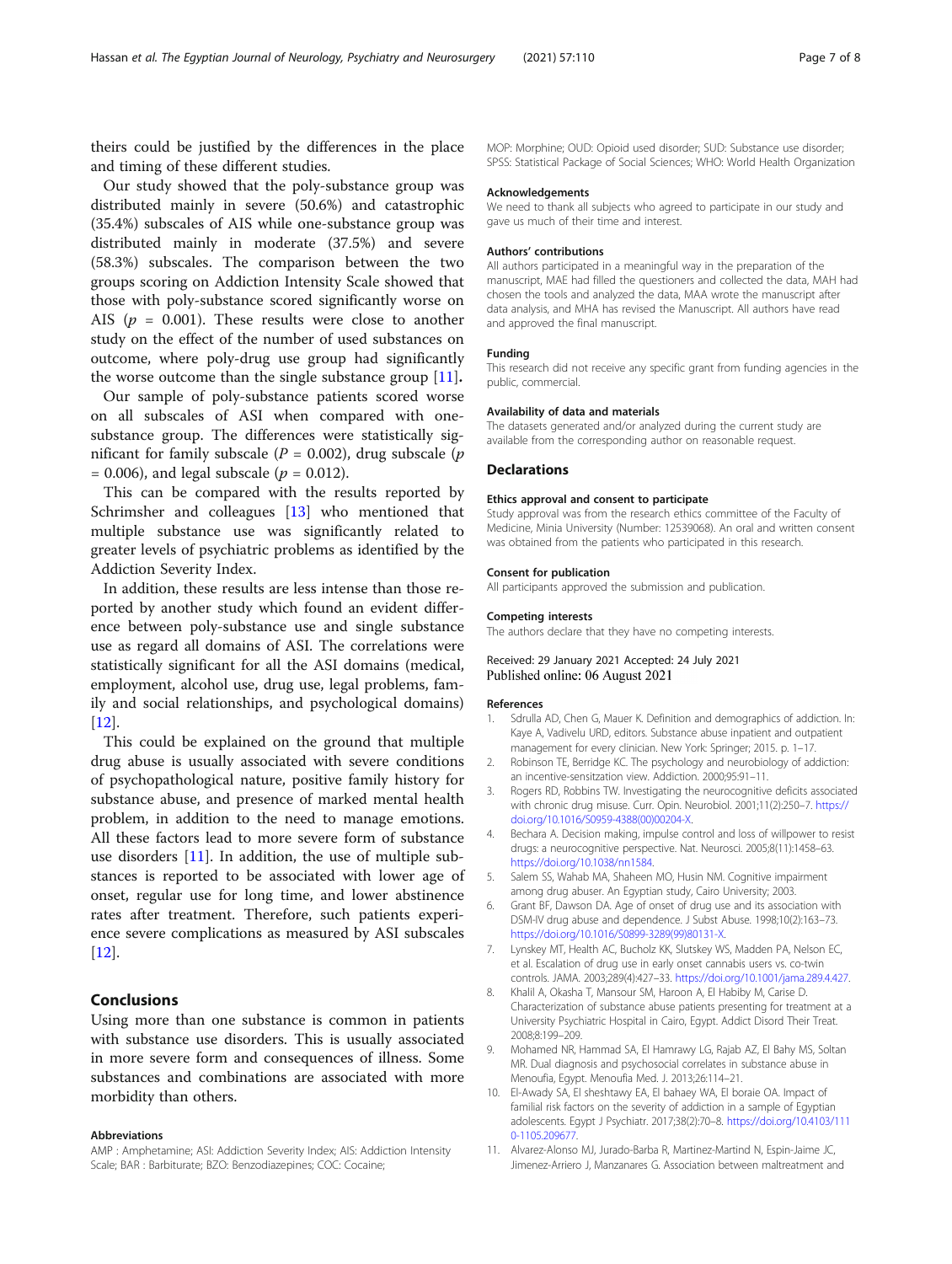<span id="page-6-0"></span>theirs could be justified by the differences in the place and timing of these different studies.

Our study showed that the poly-substance group was distributed mainly in severe (50.6%) and catastrophic (35.4%) subscales of AIS while one-substance group was distributed mainly in moderate (37.5%) and severe (58.3%) subscales. The comparison between the two groups scoring on Addiction Intensity Scale showed that those with poly-substance scored significantly worse on AIS ( $p = 0.001$ ). These results were close to another study on the effect of the number of used substances on outcome, where poly-drug use group had significantly the worse outcome than the single substance group [11].

Our sample of poly-substance patients scored worse on all subscales of ASI when compared with onesubstance group. The differences were statistically significant for family subscale ( $P = 0.002$ ), drug subscale ( $p$  $= 0.006$ , and legal subscale ( $p = 0.012$ ).

This can be compared with the results reported by Schrimsher and colleagues [[13](#page-7-0)] who mentioned that multiple substance use was significantly related to greater levels of psychiatric problems as identified by the Addiction Severity Index.

In addition, these results are less intense than those reported by another study which found an evident difference between poly-substance use and single substance use as regard all domains of ASI. The correlations were statistically significant for all the ASI domains (medical, employment, alcohol use, drug use, legal problems, family and social relationships, and psychological domains) [[12\]](#page-7-0).

This could be explained on the ground that multiple drug abuse is usually associated with severe conditions of psychopathological nature, positive family history for substance abuse, and presence of marked mental health problem, in addition to the need to manage emotions. All these factors lead to more severe form of substance use disorders [11]. In addition, the use of multiple substances is reported to be associated with lower age of onset, regular use for long time, and lower abstinence rates after treatment. Therefore, such patients experience severe complications as measured by ASI subscales [[12\]](#page-7-0).

## Conclusions

Using more than one substance is common in patients with substance use disorders. This is usually associated in more severe form and consequences of illness. Some substances and combinations are associated with more morbidity than others.

#### Abbreviations

AMP : Amphetamine; ASI: Addiction Severity Index; AIS: Addiction Intensity Scale; BAR : Barbiturate; BZO: Benzodiazepines; COC: Cocaine;

MOP: Morphine; OUD: Opioid used disorder; SUD: Substance use disorder; SPSS: Statistical Package of Social Sciences; WHO: World Health Organization

#### Acknowledgements

We need to thank all subjects who agreed to participate in our study and gave us much of their time and interest.

#### Authors' contributions

All authors participated in a meaningful way in the preparation of the manuscript, MAE had filled the questioners and collected the data, MAH had chosen the tools and analyzed the data, MAA wrote the manuscript after data analysis, and MHA has revised the Manuscript. All authors have read and approved the final manuscript.

#### Funding

This research did not receive any specific grant from funding agencies in the public, commercial.

#### Availability of data and materials

The datasets generated and/or analyzed during the current study are available from the corresponding author on reasonable request.

#### **Declarations**

#### Ethics approval and consent to participate

Study approval was from the research ethics committee of the Faculty of Medicine, Minia University (Number: 12539068). An oral and written consent was obtained from the patients who participated in this research.

#### Consent for publication

All participants approved the submission and publication.

#### Competing interests

The authors declare that they have no competing interests.

### Received: 29 January 2021 Accepted: 24 July 2021 Published online: 06 August 2021

#### References

- 1. Sdrulla AD, Chen G, Mauer K. Definition and demographics of addiction. In: Kaye A, Vadivelu URD, editors. Substance abuse inpatient and outpatient management for every clinician. New York: Springer; 2015. p. 1–17.
- 2. Robinson TE, Berridge KC. The psychology and neurobiology of addiction: an incentive-sensitzation view. Addiction. 2000;95:91–11.
- 3. Rogers RD, Robbins TW. Investigating the neurocognitive deficits associated with chronic drug misuse. Curr. Opin. Neurobiol. 2001;11(2):250–7. [https://](https://doi.org/10.1016/S0959-4388(00)00204-X) [doi.org/10.1016/S0959-4388\(00\)00204-X.](https://doi.org/10.1016/S0959-4388(00)00204-X)
- 4. Bechara A. Decision making, impulse control and loss of willpower to resist drugs: a neurocognitive perspective. Nat. Neurosci. 2005;8(11):1458–63. <https://doi.org/10.1038/nn1584>.
- 5. Salem SS, Wahab MA, Shaheen MO, Husin NM. Cognitive impairment among drug abuser. An Egyptian study, Cairo University; 2003.
- 6. Grant BF, Dawson DA. Age of onset of drug use and its association with DSM-IV drug abuse and dependence. J Subst Abuse. 1998;10(2):163–73. [https://doi.org/10.1016/S0899-3289\(99\)80131-X](https://doi.org/10.1016/S0899-3289(99)80131-X).
- 7. Lynskey MT, Health AC, Bucholz KK, Slutskey WS, Madden PA, Nelson EC, et al. Escalation of drug use in early onset cannabis users vs. co-twin controls. JAMA. 2003;289(4):427–33. <https://doi.org/10.1001/jama.289.4.427>.
- 8. Khalil A, Okasha T, Mansour SM, Haroon A, El Habiby M, Carise D. Characterization of substance abuse patients presenting for treatment at a University Psychiatric Hospital in Cairo, Egypt. Addict Disord Their Treat. 2008;8:199–209.
- 9. Mohamed NR, Hammad SA, El Hamrawy LG, Rajab AZ, El Bahy MS, Soltan MR. Dual diagnosis and psychosocial correlates in substance abuse in Menoufia, Egypt. Menoufia Med. J. 2013;26:114–21.
- 10. El-Awady SA, El sheshtawy EA, El bahaey WA, El boraie OA. Impact of familial risk factors on the severity of addiction in a sample of Egyptian adolescents. Egypt J Psychiatr. 2017;38(2):70–8. [https://doi.org/10.4103/111](https://doi.org/10.4103/1110-1105.209677) [0-1105.209677.](https://doi.org/10.4103/1110-1105.209677)
- 11. Alvarez-Alonso MJ, Jurado-Barba R, Martinez-Martind N, Espin-Jaime JC, Jimenez-Arriero J, Manzanares G. Association between maltreatment and